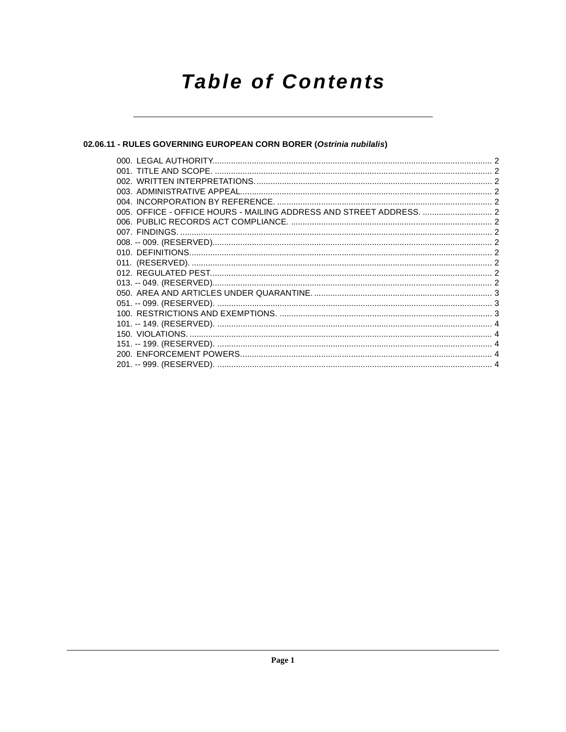# **Table of Contents**

# 02.06.11 - RULES GOVERNING EUROPEAN CORN BORER (Ostrinia nubilalis)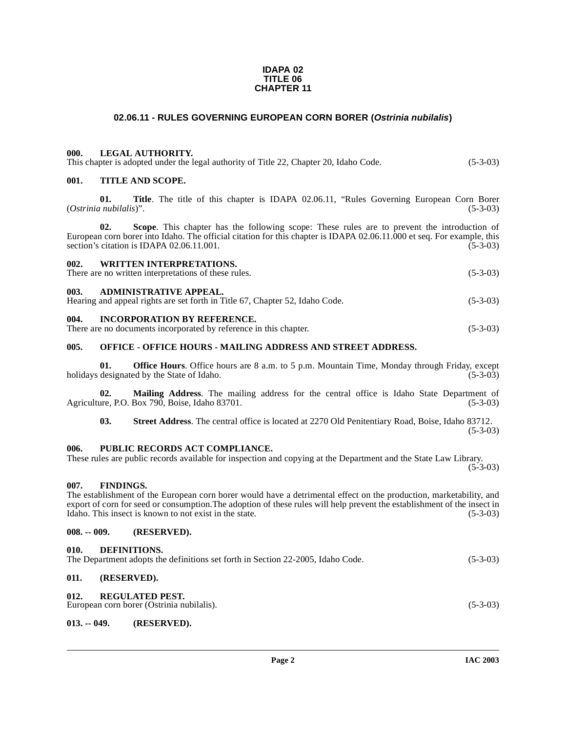#### **IDAPA 02 TITLE 06 CHAPTER 11**

### **02.06.11 - RULES GOVERNING EUROPEAN CORN BORER (Ostrinia nubilalis)**

#### <span id="page-1-1"></span><span id="page-1-0"></span>**000. LEGAL AUTHORITY.**

| This chapter is adopted under the legal authority of Title 22, Chapter 20, Idaho Code.<br>$(5-3-03)$ |
|------------------------------------------------------------------------------------------------------|
|------------------------------------------------------------------------------------------------------|

#### <span id="page-1-2"></span>**001. TITLE AND SCOPE.**

**01.** Title. The title of this chapter is IDAPA 02.06.11, "Rules Governing European Corn Borer *nubilalis*)". (5-3-03) (Ostrinia nubilalis)".

**02. Scope**. This chapter has the following scope: These rules are to prevent the introduction of European corn borer into Idaho. The official citation for this chapter is IDAPA 02.06.11.000 et seq. For example, this section's citation is IDAPA 02.06.11.001. section's citation is IDAPA  $02.06.11.001$ .

<span id="page-1-4"></span><span id="page-1-3"></span>

| 002.<br>WRITTEN INTERPRETATIONS.<br>There are no written interpretations of these rules. | $(5-3-03)$ |
|------------------------------------------------------------------------------------------|------------|
| 003.<br>ADMINISTRATIVE APPEAL.                                                           |            |
| Hearing and appeal rights are set forth in Title 67, Chapter 52, Idaho Code.             | $(5-3-03)$ |

#### <span id="page-1-5"></span>**004. INCORPORATION BY REFERENCE.**

There are no documents incorporated by reference in this chapter. (5-3-03)

#### <span id="page-1-6"></span>**005. OFFICE - OFFICE HOURS - MAILING ADDRESS AND STREET ADDRESS.**

**01. Office Hours**. Office hours are 8 a.m. to 5 p.m. Mountain Time, Monday through Friday, except designated by the State of Idaho. (5-3-03) holidays designated by the State of Idaho.

**02. Mailing Address**. The mailing address for the central office is Idaho State Department of Agriculture, P.O. Box 790, Boise, Idaho 83701. (5-3-03)

**03. Street Address**. The central office is located at 2270 Old Penitentiary Road, Boise, Idaho 83712.

(5-3-03)

#### <span id="page-1-7"></span>**006. PUBLIC RECORDS ACT COMPLIANCE.**

#### These rules are public records available for inspection and copying at the Department and the State Law Library.  $(5-3-03)$

#### <span id="page-1-8"></span>**007. FINDINGS.**

The establishment of the European corn borer would have a detrimental effect on the production, marketability, and export of corn for seed or consumption. The adoption of these rules will help prevent the establishment of the insect in Idaho. This insect is known to not exist in the state. (5-3-03) Idaho. This insect is known to not exist in the state.

#### <span id="page-1-9"></span>**008. -- 009. (RESERVED).**

#### <span id="page-1-10"></span>**010. DEFINITIONS.**

| The Department adopts the definitions set forth in Section 22-2005, Idaho Code. | $(5-3-03)$ |
|---------------------------------------------------------------------------------|------------|
|                                                                                 |            |

# <span id="page-1-11"></span>**011. (RESERVED).**

<span id="page-1-14"></span><span id="page-1-12"></span>

| 012 | REGULATED PEST.                           |            |
|-----|-------------------------------------------|------------|
|     | European corn borer (Ostrinia nubilalis). | $(5-3-03)$ |

### <span id="page-1-13"></span>**013. -- 049. (RESERVED).**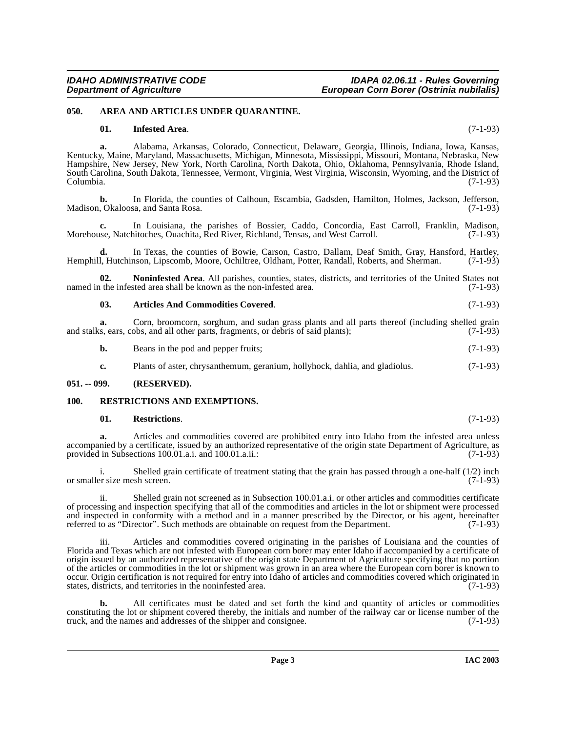#### <span id="page-2-0"></span>**050. AREA AND ARTICLES UNDER QUARANTINE.**

#### <span id="page-2-5"></span><span id="page-2-3"></span>**01. Infested Area**. (7-1-93)

**a.** Alabama, Arkansas, Colorado, Connecticut, Delaware, Georgia, Illinois, Indiana, Iowa, Kansas, Kentucky, Maine, Maryland, Massachusetts, Michigan, Minnesota, Mississippi, Missouri, Montana, Nebraska, New Hampshire, New Jersey, New York, North Carolina, North Dakota, Ohio, Oklahoma, Pennsylvania, Rhode Island, South Carolina, South Dakota, Tennessee, Vermont, Virginia, West Virginia, Wisconsin, Wyoming, and the District of Columbia. (7-1-93)

**b.** In Florida, the counties of Calhoun, Escambia, Gadsden, Hamilton, Holmes, Jackson, Jefferson, Okaloosa, and Santa Rosa. (7-1-93) Madison, Okaloosa, and Santa Rosa.

**c.** In Louisiana, the parishes of Bossier, Caddo, Concordia, East Carroll, Franklin, Madison, Morehouse, Natchitoches, Ouachita, Red River, Richland, Tensas, and West Carroll.

**d.** In Texas, the counties of Bowie, Carson, Castro, Dallam, Deaf Smith, Gray, Hansford, Hartley, Hemphill, Hutchinson, Lipscomb, Moore, Ochiltree, Oldham, Potter, Randall, Roberts, and Sherman. (7-1-93)

**02. Noninfested Area**. All parishes, counties, states, districts, and territories of the United States not named in the infested area shall be known as the non-infested area. (7-1-93)

#### <span id="page-2-6"></span><span id="page-2-4"></span>**03. Articles And Commodities Covered**. (7-1-93)

**a.** Corn, broomcorn, sorghum, and sudan grass plants and all parts thereof (including shelled grain is, ears, cobs, and all other parts, fragments, or debris of said plants); (7-1-93) and stalks, ears, cobs, and all other parts, fragments, or debris of said plants);

**b.** Beans in the pod and pepper fruits; (7-1-93)

**c.** Plants of aster, chrysanthemum, geranium, hollyhock, dahlia, and gladiolus. (7-1-93)

#### <span id="page-2-1"></span>**051. -- 099. (RESERVED).**

#### <span id="page-2-2"></span>**100. RESTRICTIONS AND EXEMPTIONS.**

#### <span id="page-2-8"></span><span id="page-2-7"></span>**01. Restrictions**. (7-1-93)

**a.** Articles and commodities covered are prohibited entry into Idaho from the infested area unless accompanied by a certificate, issued by an authorized representative of the origin state Department of Agriculture, as provided in Subsections 100.01.a.i. and 100.01.a.ii.: provided in Subsections 100.01.a.i. and 100.01.a.ii.:

i. Shelled grain certificate of treatment stating that the grain has passed through a one-half  $(1/2)$  inch er size mesh screen.  $(7-1-93)$ or smaller size mesh screen.

ii. Shelled grain not screened as in Subsection 100.01.a.i. or other articles and commodities certificate of processing and inspection specifying that all of the commodities and articles in the lot or shipment were processed and inspected in conformity with a method and in a manner prescribed by the Director, or his agent, hereinafter referred to as "Director". Such methods are obtainable on request from the Department. (7-1-93)

iii. Articles and commodities covered originating in the parishes of Louisiana and the counties of Florida and Texas which are not infested with European corn borer may enter Idaho if accompanied by a certificate of origin issued by an authorized representative of the origin state Department of Agriculture specifying that no portion of the articles or commodities in the lot or shipment was grown in an area where the European corn borer is known to occur. Origin certification is not required for entry into Idaho of articles and commodities covered which originated in states, districts, and territories in the noninfested area. (7-1-93) states, districts, and territories in the noninfested area.

**b.** All certificates must be dated and set forth the kind and quantity of articles or commodities constituting the lot or shipment covered thereby, the initials and number of the railway car or license number of the truck, and the names and addresses of the shipper and consignee. (7-1-93) truck, and the names and addresses of the shipper and consignee.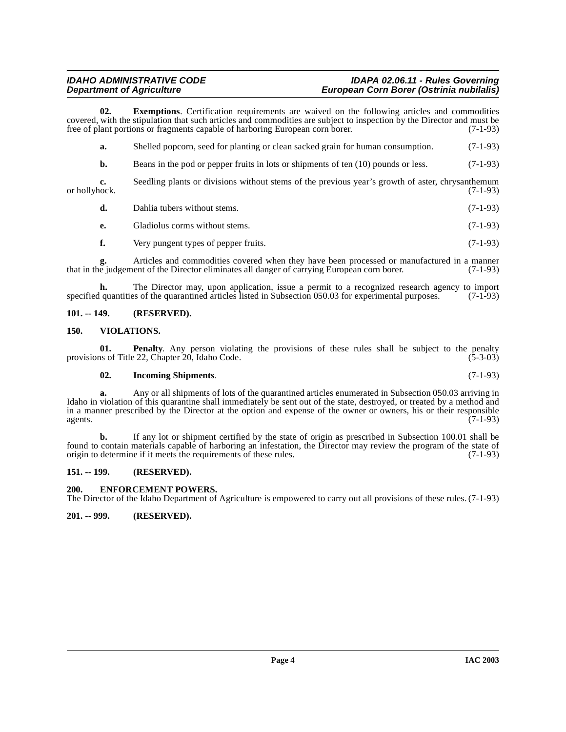#### **IDAHO ADMINISTRATIVE CODE IDAPA 02.06.11 - Rules Governing European Corn Borer (Ostrinia nubilalis)**

<span id="page-3-5"></span>**02. Exemptions**. Certification requirements are waived on the following articles and commodities covered, with the stipulation that such articles and commodities are subject to inspection by the Director and must be free of plant portions or fragments capable of harboring European corn borer. (7-1-93) free of plant portions or fragments capable of harboring European corn borer.

| а.                  | Shelled popcorn, seed for planting or clean sacked grain for human consumption.                  |                      |
|---------------------|--------------------------------------------------------------------------------------------------|----------------------|
| b.                  | Beans in the pod or pepper fruits in lots or shipments of ten $(10)$ pounds or less.             | $(7-1-93)$           |
| c.<br>or hollyhock. | Seedling plants or divisions without stems of the previous year's growth of aster, chrysanthemum | $(7-1-93)$           |
| d.                  | Dahlia tubers without stems.                                                                     | $(7-1-93)$           |
|                     |                                                                                                  | $\sim$ $\sim$ $\sim$ |

- **e.** Gladiolus corms without stems. (7-1-93)
- **f.** Very pungent types of pepper fruits. (7-1-93)

Articles and commodities covered when they have been processed or manufactured in a manner<br>ent of the Director eliminates all danger of carrying European corn borer. (7-1-93) g. Articles and commodities covered when they have been processed of intervals that in the judgement of the Director eliminates all danger of carrying European corn borer.

The Director may, upon application, issue a permit to a recognized research agency to import ss of the quarantined articles listed in Subsection 050.03 for experimental purposes. (7-1-93) specified quantities of the quarantined articles listed in Subsection 050.03 for experimental purposes.

#### <span id="page-3-0"></span>**101. -- 149. (RESERVED).**

#### <span id="page-3-7"></span><span id="page-3-1"></span>**150. VIOLATIONS.**

**01. Penalty**. Any person violating the provisions of these rules shall be subject to the penalty is of Title 22. Chapter 20. Idaho Code. (5-3-03) provisions of Title 22, Chapter 20, Idaho Code.

#### <span id="page-3-6"></span>02. Incoming Shipments.

$$
(7-1-93)
$$

**a.** Any or all shipments of lots of the quarantined articles enumerated in Subsection 050.03 arriving in Idaho in violation of this quarantine shall immediately be sent out of the state, destroyed, or treated by a method and in a manner prescribed by the Director at the option and expense of the owner or owners, his or their responsible agents.  $(7-1-93)$ 

**b.** If any lot or shipment certified by the state of origin as prescribed in Subsection 100.01 shall be found to contain materials capable of harboring an infestation, the Director may review the program of the state of origin to determine if it meets the requirements of these rules. (7-1-93) origin to determine if it meets the requirements of these rules.

### <span id="page-3-2"></span>**151. -- 199. (RESERVED).**

### <span id="page-3-3"></span>**200. ENFORCEMENT POWERS.**

The Director of the Idaho Department of Agriculture is empowered to carry out all provisions of these rules. (7-1-93)

### <span id="page-3-4"></span>**201. -- 999. (RESERVED).**